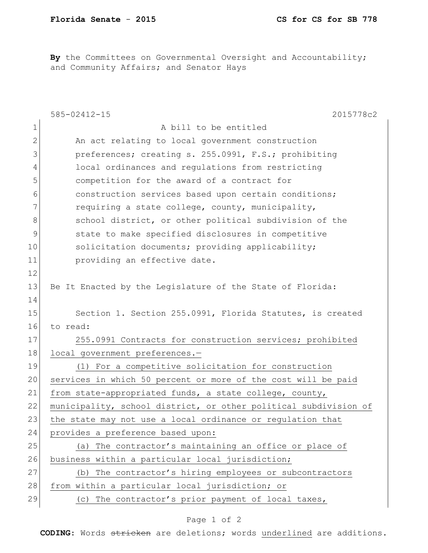By the Committees on Governmental Oversight and Accountability; and Community Affairs; and Senator Hays

|             | $585 - 02412 - 15$<br>2015778c2                                  |
|-------------|------------------------------------------------------------------|
| 1           | A bill to be entitled                                            |
| 2           | An act relating to local government construction                 |
| 3           | preferences; creating s. 255.0991, F.S.; prohibiting             |
| 4           | local ordinances and regulations from restricting                |
| 5           | competition for the award of a contract for                      |
| 6           | construction services based upon certain conditions;             |
| 7           | requiring a state college, county, municipality,                 |
| 8           | school district, or other political subdivision of the           |
| $\mathsf 9$ | state to make specified disclosures in competitive               |
| 10          | solicitation documents; providing applicability;                 |
| 11          | providing an effective date.                                     |
| 12          |                                                                  |
| 13          | Be It Enacted by the Legislature of the State of Florida:        |
| 14          |                                                                  |
| 15          | Section 1. Section 255.0991, Florida Statutes, is created        |
| 16          | to read:                                                         |
| 17          | 255.0991 Contracts for construction services; prohibited         |
| 18          | local government preferences.-                                   |
| 19          | (1) For a competitive solicitation for construction              |
| 20          | services in which 50 percent or more of the cost will be paid    |
| 21          | from state-appropriated funds, a state college, county,          |
| 22          | municipality, school district, or other political subdivision of |
| 23          | the state may not use a local ordinance or regulation that       |
| 24          | provides a preference based upon:                                |
| 25          | (a) The contractor's maintaining an office or place of           |
| 26          | business within a particular local jurisdiction;                 |
| 27          | (b) The contractor's hiring employees or subcontractors          |
| 28          | from within a particular local jurisdiction; or                  |
| 29          | (c) The contractor's prior payment of local taxes,               |

## Page 1 of 2

**CODING**: Words stricken are deletions; words underlined are additions.